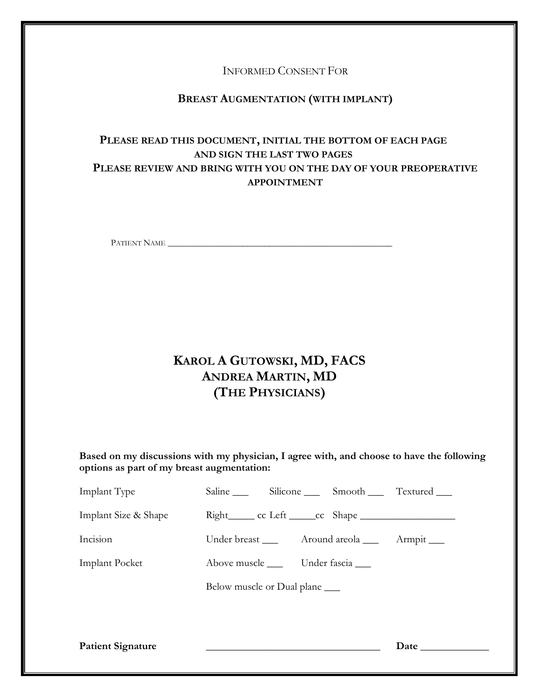INFORMED CONSENT FOR

# **BREAST AUGMENTATION (WITH IMPLANT)**

# **PLEASE READ THIS DOCUMENT, INITIAL THE BOTTOM OF EACH PAGE AND SIGN THE LAST TWO PAGES PLEASE REVIEW AND BRING WITH YOU ON THE DAY OF YOUR PREOPERATIVE APPOINTMENT**

PATIENT NAME \_\_\_\_\_\_\_\_\_\_\_\_\_\_\_\_\_\_\_\_\_\_\_\_\_\_\_\_\_\_\_\_\_\_\_\_\_\_\_\_\_\_\_\_\_\_\_\_\_\_\_

# **KAROL A GUTOWSKI, MD, FACS ANDREA MARTIN, MD (THE PHYSICIANS)**

**Based on my discussions with my physician, I agree with, and choose to have the following options as part of my breast augmentation:** 

| <b>Patient Signature</b> |                                        |             |
|--------------------------|----------------------------------------|-------------|
|                          | Below muscle or Dual plane ______      |             |
| <b>Implant Pocket</b>    | Above muscle ______ Under fascia _____ |             |
| Incision                 | Under breast _____ Around areola ____  | Armpit ____ |
| Implant Size & Shape     |                                        |             |
| Implant Type             | Saline Silicone Smooth Textured        |             |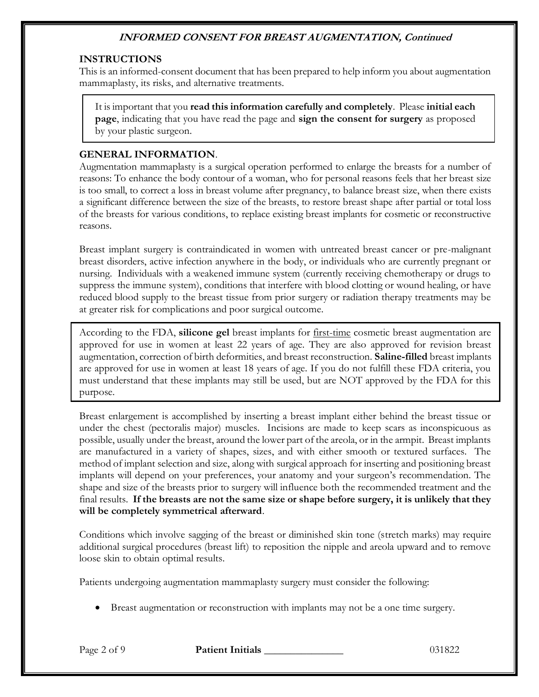#### **INSTRUCTIONS**

This is an informed-consent document that has been prepared to help inform you about augmentation mammaplasty, its risks, and alternative treatments.

It is important that you **read this information carefully and completely**. Please **initial each page**, indicating that you have read the page and **sign the consent for surgery** as proposed by your plastic surgeon.

#### **GENERAL INFORMATION**.

Augmentation mammaplasty is a surgical operation performed to enlarge the breasts for a number of reasons: To enhance the body contour of a woman, who for personal reasons feels that her breast size is too small, to correct a loss in breast volume after pregnancy, to balance breast size, when there exists a significant difference between the size of the breasts, to restore breast shape after partial or total loss of the breasts for various conditions, to replace existing breast implants for cosmetic or reconstructive reasons.

Breast implant surgery is contraindicated in women with untreated breast cancer or pre-malignant breast disorders, active infection anywhere in the body, or individuals who are currently pregnant or nursing. Individuals with a weakened immune system (currently receiving chemotherapy or drugs to suppress the immune system), conditions that interfere with blood clotting or wound healing, or have reduced blood supply to the breast tissue from prior surgery or radiation therapy treatments may be at greater risk for complications and poor surgical outcome.

According to the FDA, **silicone gel** breast implants for first-time cosmetic breast augmentation are approved for use in women at least 22 years of age. They are also approved for revision breast augmentation, correction of birth deformities, and breast reconstruction. **Saline-filled** breast implants are approved for use in women at least 18 years of age. If you do not fulfill these FDA criteria, you must understand that these implants may still be used, but are NOT approved by the FDA for this purpose.

Breast enlargement is accomplished by inserting a breast implant either behind the breast tissue or under the chest (pectoralis major) muscles. Incisions are made to keep scars as inconspicuous as possible, usually under the breast, around the lower part of the areola, or in the armpit. Breast implants are manufactured in a variety of shapes, sizes, and with either smooth or textured surfaces. The method of implant selection and size, along with surgical approach for inserting and positioning breast implants will depend on your preferences, your anatomy and your surgeon's recommendation. The shape and size of the breasts prior to surgery will influence both the recommended treatment and the final results. **If the breasts are not the same size or shape before surgery, it is unlikely that they will be completely symmetrical afterward**.

Conditions which involve sagging of the breast or diminished skin tone (stretch marks) may require additional surgical procedures (breast lift) to reposition the nipple and areola upward and to remove loose skin to obtain optimal results.

Patients undergoing augmentation mammaplasty surgery must consider the following:

• Breast augmentation or reconstruction with implants may not be a one time surgery.

Page 2 of 9 **Patient Initials 2008 Patient Initials** 2008 **Page 2 of 9 Patient Initials**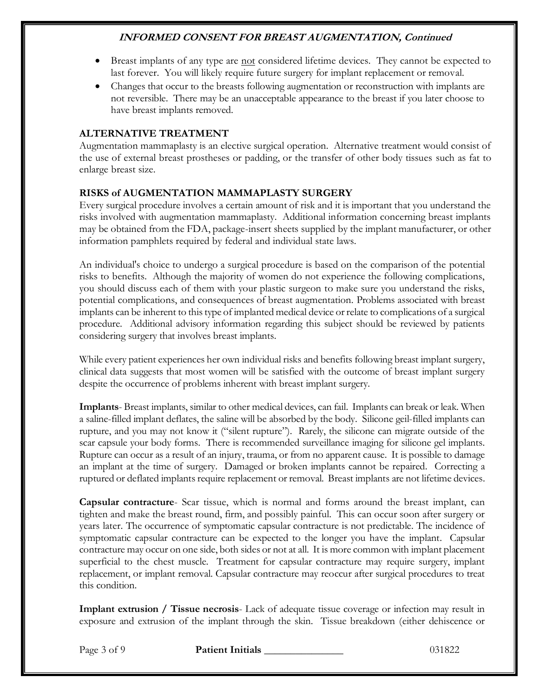- Breast implants of any type are not considered lifetime devices. They cannot be expected to last forever. You will likely require future surgery for implant replacement or removal.
- Changes that occur to the breasts following augmentation or reconstruction with implants are not reversible. There may be an unacceptable appearance to the breast if you later choose to have breast implants removed.

### **ALTERNATIVE TREATMENT**

Augmentation mammaplasty is an elective surgical operation. Alternative treatment would consist of the use of external breast prostheses or padding, or the transfer of other body tissues such as fat to enlarge breast size.

# **RISKS of AUGMENTATION MAMMAPLASTY SURGERY**

Every surgical procedure involves a certain amount of risk and it is important that you understand the risks involved with augmentation mammaplasty. Additional information concerning breast implants may be obtained from the FDA, package-insert sheets supplied by the implant manufacturer, or other information pamphlets required by federal and individual state laws.

An individual's choice to undergo a surgical procedure is based on the comparison of the potential risks to benefits. Although the majority of women do not experience the following complications, you should discuss each of them with your plastic surgeon to make sure you understand the risks, potential complications, and consequences of breast augmentation. Problems associated with breast implants can be inherent to this type of implanted medical device or relate to complications of a surgical procedure. Additional advisory information regarding this subject should be reviewed by patients considering surgery that involves breast implants.

While every patient experiences her own individual risks and benefits following breast implant surgery, clinical data suggests that most women will be satisfied with the outcome of breast implant surgery despite the occurrence of problems inherent with breast implant surgery.

**Implants**- Breast implants, similar to other medical devices, can fail. Implants can break or leak. When a saline-filled implant deflates, the saline will be absorbed by the body. Silicone geil-filled implants can rupture, and you may not know it ("silent rupture"). Rarely, the silicone can migrate outside of the scar capsule your body forms. There is recommended surveillance imaging for silicone gel implants. Rupture can occur as a result of an injury, trauma, or from no apparent cause. It is possible to damage an implant at the time of surgery. Damaged or broken implants cannot be repaired. Correcting a ruptured or deflated implants require replacement or removal. Breast implants are not lifetime devices.

**Capsular contracture**- Scar tissue, which is normal and forms around the breast implant, can tighten and make the breast round, firm, and possibly painful. This can occur soon after surgery or years later. The occurrence of symptomatic capsular contracture is not predictable. The incidence of symptomatic capsular contracture can be expected to the longer you have the implant. Capsular contracture may occur on one side, both sides or not at all. It is more common with implant placement superficial to the chest muscle. Treatment for capsular contracture may require surgery, implant replacement, or implant removal. Capsular contracture may reoccur after surgical procedures to treat this condition.

**Implant extrusion / Tissue necrosis**- Lack of adequate tissue coverage or infection may result in exposure and extrusion of the implant through the skin. Tissue breakdown (either dehiscence or

Page 3 of 9 **Patient Initials** 13.1822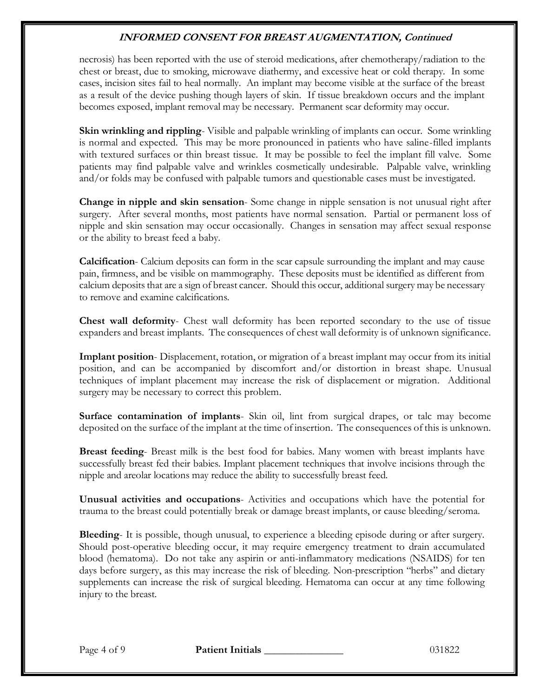necrosis) has been reported with the use of steroid medications, after chemotherapy/radiation to the chest or breast, due to smoking, microwave diathermy, and excessive heat or cold therapy. In some cases, incision sites fail to heal normally. An implant may become visible at the surface of the breast as a result of the device pushing though layers of skin. If tissue breakdown occurs and the implant becomes exposed, implant removal may be necessary. Permanent scar deformity may occur.

**Skin wrinkling and rippling**- Visible and palpable wrinkling of implants can occur. Some wrinkling is normal and expected. This may be more pronounced in patients who have saline-filled implants with textured surfaces or thin breast tissue. It may be possible to feel the implant fill valve. Some patients may find palpable valve and wrinkles cosmetically undesirable. Palpable valve, wrinkling and/or folds may be confused with palpable tumors and questionable cases must be investigated.

**Change in nipple and skin sensation**- Some change in nipple sensation is not unusual right after surgery. After several months, most patients have normal sensation. Partial or permanent loss of nipple and skin sensation may occur occasionally. Changes in sensation may affect sexual response or the ability to breast feed a baby.

**Calcification**- Calcium deposits can form in the scar capsule surrounding the implant and may cause pain, firmness, and be visible on mammography. These deposits must be identified as different from calcium deposits that are a sign of breast cancer. Should this occur, additional surgery may be necessary to remove and examine calcifications.

**Chest wall deformity**- Chest wall deformity has been reported secondary to the use of tissue expanders and breast implants. The consequences of chest wall deformity is of unknown significance.

**Implant position**- Displacement, rotation, or migration of a breast implant may occur from its initial position, and can be accompanied by discomfort and/or distortion in breast shape. Unusual techniques of implant placement may increase the risk of displacement or migration. Additional surgery may be necessary to correct this problem.

**Surface contamination of implants**- Skin oil, lint from surgical drapes, or talc may become deposited on the surface of the implant at the time of insertion. The consequences of this is unknown.

**Breast feeding**- Breast milk is the best food for babies. Many women with breast implants have successfully breast fed their babies. Implant placement techniques that involve incisions through the nipple and areolar locations may reduce the ability to successfully breast feed.

**Unusual activities and occupations**- Activities and occupations which have the potential for trauma to the breast could potentially break or damage breast implants, or cause bleeding/seroma.

**Bleeding**- It is possible, though unusual, to experience a bleeding episode during or after surgery. Should post-operative bleeding occur, it may require emergency treatment to drain accumulated blood (hematoma). Do not take any aspirin or anti-inflammatory medications (NSAIDS) for ten days before surgery, as this may increase the risk of bleeding. Non-prescription "herbs" and dietary supplements can increase the risk of surgical bleeding. Hematoma can occur at any time following injury to the breast.

Page 4 of 9 **Patient Initials** 131822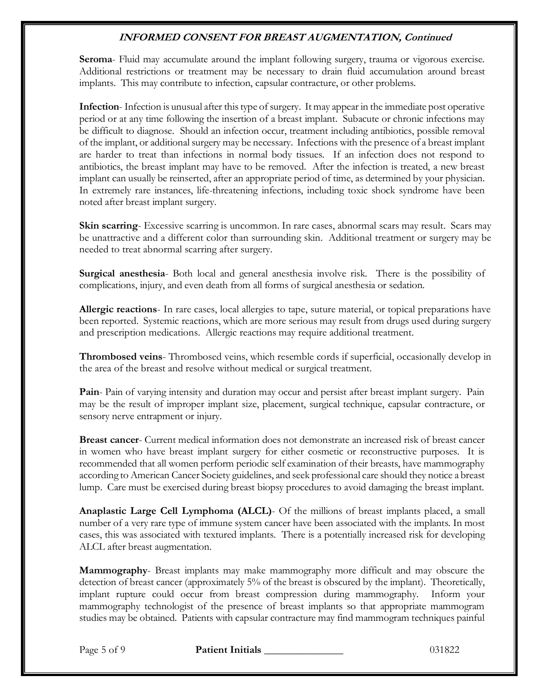**Seroma**- Fluid may accumulate around the implant following surgery, trauma or vigorous exercise. Additional restrictions or treatment may be necessary to drain fluid accumulation around breast implants. This may contribute to infection, capsular contracture, or other problems.

**Infection**- Infection is unusual after this type of surgery. It may appear in the immediate post operative period or at any time following the insertion of a breast implant. Subacute or chronic infections may be difficult to diagnose. Should an infection occur, treatment including antibiotics, possible removal of the implant, or additional surgery may be necessary. Infections with the presence of a breast implant are harder to treat than infections in normal body tissues. If an infection does not respond to antibiotics, the breast implant may have to be removed. After the infection is treated, a new breast implant can usually be reinserted, after an appropriate period of time, as determined by your physician. In extremely rare instances, life-threatening infections, including toxic shock syndrome have been noted after breast implant surgery.

**Skin scarring**- Excessive scarring is uncommon. In rare cases, abnormal scars may result. Scars may be unattractive and a different color than surrounding skin. Additional treatment or surgery may be needed to treat abnormal scarring after surgery.

**Surgical anesthesia**- Both local and general anesthesia involve risk. There is the possibility of complications, injury, and even death from all forms of surgical anesthesia or sedation.

**Allergic reactions**- In rare cases, local allergies to tape, suture material, or topical preparations have been reported. Systemic reactions, which are more serious may result from drugs used during surgery and prescription medications. Allergic reactions may require additional treatment.

**Thrombosed veins**- Thrombosed veins, which resemble cords if superficial, occasionally develop in the area of the breast and resolve without medical or surgical treatment.

**Pain**- Pain of varying intensity and duration may occur and persist after breast implant surgery. Pain may be the result of improper implant size, placement, surgical technique, capsular contracture, or sensory nerve entrapment or injury.

**Breast cancer**- Current medical information does not demonstrate an increased risk of breast cancer in women who have breast implant surgery for either cosmetic or reconstructive purposes. It is recommended that all women perform periodic self examination of their breasts, have mammography according to American Cancer Society guidelines, and seek professional care should they notice a breast lump. Care must be exercised during breast biopsy procedures to avoid damaging the breast implant.

**Anaplastic Large Cell Lymphoma (ALCL)**- Of the millions of breast implants placed, a small number of a very rare type of immune system cancer have been associated with the implants. In most cases, this was associated with textured implants. There is a potentially increased risk for developing ALCL after breast augmentation.

**Mammography**- Breast implants may make mammography more difficult and may obscure the detection of breast cancer (approximately 5% of the breast is obscured by the implant). Theoretically, implant rupture could occur from breast compression during mammography. Inform your mammography technologist of the presence of breast implants so that appropriate mammogram studies may be obtained. Patients with capsular contracture may find mammogram techniques painful

Page 5 of 9 **Patient Initials 1996 Page 5 of 9 Patient Initials** 1031822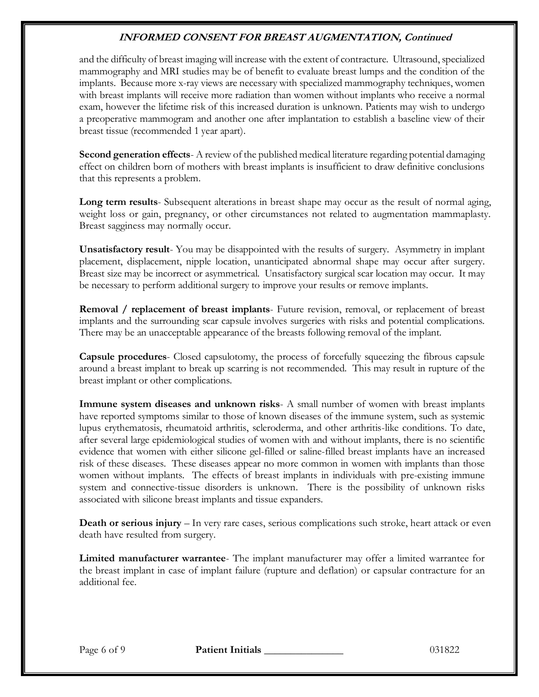and the difficulty of breast imaging will increase with the extent of contracture. Ultrasound, specialized mammography and MRI studies may be of benefit to evaluate breast lumps and the condition of the implants. Because more x-ray views are necessary with specialized mammography techniques, women with breast implants will receive more radiation than women without implants who receive a normal exam, however the lifetime risk of this increased duration is unknown. Patients may wish to undergo a preoperative mammogram and another one after implantation to establish a baseline view of their breast tissue (recommended 1 year apart).

**Second generation effects**- A review of the published medical literature regarding potential damaging effect on children born of mothers with breast implants is insufficient to draw definitive conclusions that this represents a problem.

**Long term results**- Subsequent alterations in breast shape may occur as the result of normal aging, weight loss or gain, pregnancy, or other circumstances not related to augmentation mammaplasty. Breast sagginess may normally occur.

**Unsatisfactory result**- You may be disappointed with the results of surgery. Asymmetry in implant placement, displacement, nipple location, unanticipated abnormal shape may occur after surgery. Breast size may be incorrect or asymmetrical. Unsatisfactory surgical scar location may occur. It may be necessary to perform additional surgery to improve your results or remove implants.

**Removal / replacement of breast implants**- Future revision, removal, or replacement of breast implants and the surrounding scar capsule involves surgeries with risks and potential complications. There may be an unacceptable appearance of the breasts following removal of the implant.

**Capsule procedures**- Closed capsulotomy, the process of forcefully squeezing the fibrous capsule around a breast implant to break up scarring is not recommended. This may result in rupture of the breast implant or other complications.

**Immune system diseases and unknown risks**- A small number of women with breast implants have reported symptoms similar to those of known diseases of the immune system, such as systemic lupus erythematosis, rheumatoid arthritis, scleroderma, and other arthritis-like conditions. To date, after several large epidemiological studies of women with and without implants, there is no scientific evidence that women with either silicone gel-filled or saline-filled breast implants have an increased risk of these diseases. These diseases appear no more common in women with implants than those women without implants. The effects of breast implants in individuals with pre-existing immune system and connective-tissue disorders is unknown. There is the possibility of unknown risks associated with silicone breast implants and tissue expanders.

**Death or serious injury** – In very rare cases, serious complications such stroke, heart attack or even death have resulted from surgery.

**Limited manufacturer warrantee**- The implant manufacturer may offer a limited warrantee for the breast implant in case of implant failure (rupture and deflation) or capsular contracture for an additional fee.

Page 6 of 9 **Patient Initials 1996 Patient Initials** 131822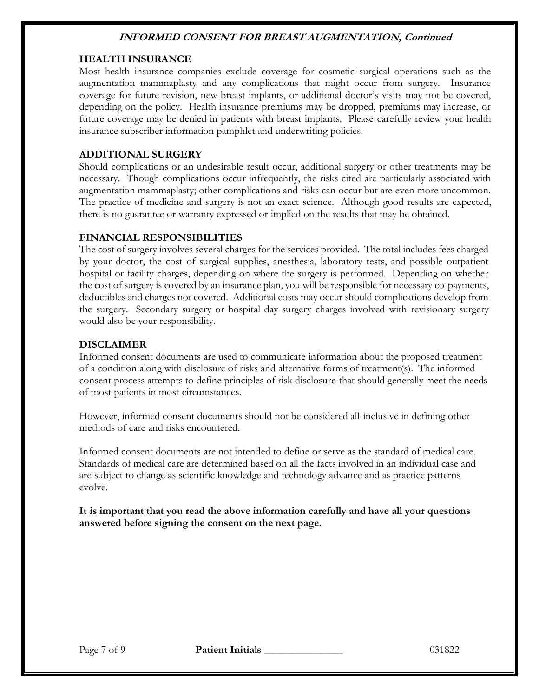#### **HEALTH INSURANCE**

Most health insurance companies exclude coverage for cosmetic surgical operations such as the augmentation mammaplasty and any complications that might occur from surgery. Insurance coverage for future revision, new breast implants, or additional doctor's visits may not be covered, depending on the policy. Health insurance premiums may be dropped, premiums may increase, or future coverage may be denied in patients with breast implants. Please carefully review your health insurance subscriber information pamphlet and underwriting policies.

### **ADDITIONAL SURGERY**

Should complications or an undesirable result occur, additional surgery or other treatments may be necessary. Though complications occur infrequently, the risks cited are particularly associated with augmentation mammaplasty; other complications and risks can occur but are even more uncommon. The practice of medicine and surgery is not an exact science. Although good results are expected, there is no guarantee or warranty expressed or implied on the results that may be obtained.

#### **FINANCIAL RESPONSIBILITIES**

The cost of surgery involves several charges for the services provided. The total includes fees charged by your doctor, the cost of surgical supplies, anesthesia, laboratory tests, and possible outpatient hospital or facility charges, depending on where the surgery is performed. Depending on whether the cost of surgery is covered by an insurance plan, you will be responsible for necessary co-payments, deductibles and charges not covered. Additional costs may occur should complications develop from the surgery. Secondary surgery or hospital day-surgery charges involved with revisionary surgery would also be your responsibility.

### **DISCLAIMER**

Informed consent documents are used to communicate information about the proposed treatment of a condition along with disclosure of risks and alternative forms of treatment(s). The informed consent process attempts to define principles of risk disclosure that should generally meet the needs of most patients in most circumstances.

However, informed consent documents should not be considered all-inclusive in defining other methods of care and risks encountered.

Informed consent documents are not intended to define or serve as the standard of medical care. Standards of medical care are determined based on all the facts involved in an individual case and are subject to change as scientific knowledge and technology advance and as practice patterns evolve.

**It is important that you read the above information carefully and have all your questions answered before signing the consent on the next page.**

Page 7 of 9 **Patient Initials** 031822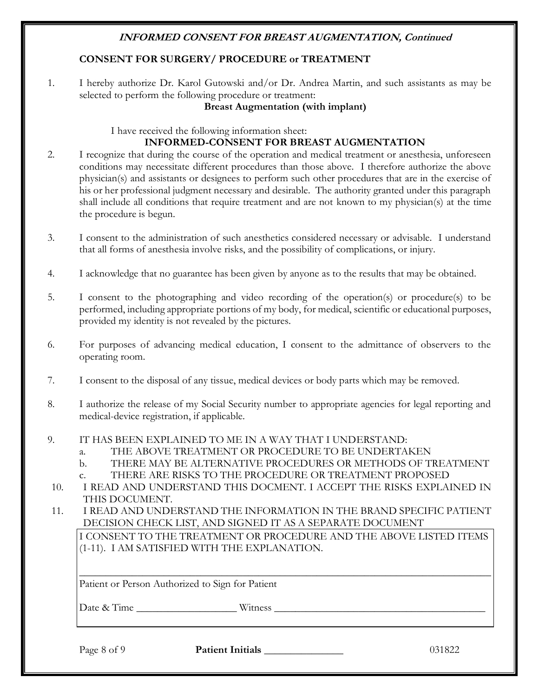#### **CONSENT FOR SURGERY/ PROCEDURE or TREATMENT**

1. I hereby authorize Dr. Karol Gutowski and/or Dr. Andrea Martin, and such assistants as may be selected to perform the following procedure or treatment:

#### **Breast Augmentation (with implant)**

I have received the following information sheet:

#### **INFORMED-CONSENT FOR BREAST AUGMENTATION**

- 2. I recognize that during the course of the operation and medical treatment or anesthesia, unforeseen conditions may necessitate different procedures than those above. I therefore authorize the above physician(s) and assistants or designees to perform such other procedures that are in the exercise of his or her professional judgment necessary and desirable. The authority granted under this paragraph shall include all conditions that require treatment and are not known to my physician(s) at the time the procedure is begun.
- 3. I consent to the administration of such anesthetics considered necessary or advisable. I understand that all forms of anesthesia involve risks, and the possibility of complications, or injury.
- 4. I acknowledge that no guarantee has been given by anyone as to the results that may be obtained.
- 5. I consent to the photographing and video recording of the operation(s) or procedure(s) to be performed, including appropriate portions of my body, for medical, scientific or educational purposes, provided my identity is not revealed by the pictures.
- 6. For purposes of advancing medical education, I consent to the admittance of observers to the operating room.
- 7. I consent to the disposal of any tissue, medical devices or body parts which may be removed.
- 8. I authorize the release of my Social Security number to appropriate agencies for legal reporting and medical-device registration, if applicable.
- 9. IT HAS BEEN EXPLAINED TO ME IN A WAY THAT I UNDERSTAND:
	- a. THE ABOVE TREATMENT OR PROCEDURE TO BE UNDERTAKEN
		- b. THERE MAY BE ALTERNATIVE PROCEDURES OR METHODS OF TREATMENT
		- c. THERE ARE RISKS TO THE PROCEDURE OR TREATMENT PROPOSED
- 10. I READ AND UNDERSTAND THIS DOCMENT. I ACCEPT THE RISKS EXPLAINED IN THIS DOCUMENT.
- 11. I READ AND UNDERSTAND THE INFORMATION IN THE BRAND SPECIFIC PATIENT DECISION CHECK LIST, AND SIGNED IT AS A SEPARATE DOCUMENT

I CONSENT TO THE TREATMENT OR PROCEDURE AND THE ABOVE LISTED ITEMS (1-11). I AM SATISFIED WITH THE EXPLANATION.

\_\_\_\_\_\_\_\_\_\_\_\_\_\_\_\_\_\_\_\_\_\_\_\_\_\_\_\_\_\_\_\_\_\_\_\_\_\_\_\_\_\_\_\_\_\_\_\_\_\_\_\_\_\_\_\_\_\_\_\_\_\_\_\_\_\_\_\_\_\_\_\_\_\_\_\_\_\_

Patient or Person Authorized to Sign for Patient

Date & Time witness

Page 8 of 9 **Patient Initials** 131822